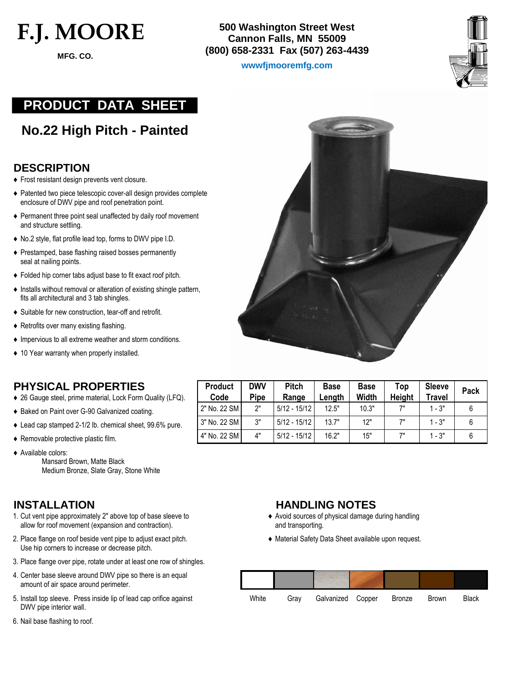# **F.J. MOORE**

 **MFG. CO.**

**500 Washington Street West Cannon Falls, MN 55009 (800) 658-2331 Fax (507) 263-4439**

**wwwfjmooremfg.com** 



# **PRODUCT DATA SHEET**

**No.22 High Pitch - Painted**

#### **DESCRIPTION**

- ♦ Frost resistant design prevents vent closure.
- ♦ Patented two piece telescopic cover-all design provides complete enclosure of DWV pipe and roof penetration point.
- ♦ Permanent three point seal unaffected by daily roof movement and structure settling.
- ♦ No.2 style, flat profile lead top, forms to DWV pipe I.D.
- ♦ Prestamped, base flashing raised bosses permanently seal at nailing points.
- ♦ Folded hip corner tabs adjust base to fit exact roof pitch.
- ♦ Installs without removal or alteration of existing shingle pattern, fits all architectural and 3 tab shingles.
- ♦ Suitable for new construction, tear-off and retrofit.
- ♦ Retrofits over many existing flashing.
- ♦ Impervious to all extreme weather and storm conditions.
- ♦ 10 Year warranty when properly installed.

## **PHYSICAL PROPERTIES**

- ♦ 26 Gauge steel, prime material, Lock Form Quality (LFQ).
- ♦ Baked on Paint over G-90 Galvanized coating.
- ♦ Lead cap stamped 2-1/2 lb. chemical sheet, 99.6% pure.
- ♦ Removable protective plastic film.
- ♦ Available colors:
	- Mansard Brown, Matte Black Medium Bronze, Slate Gray, Stone White

- 1. Cut vent pipe approximately 2" above top of base sleeve to ♦ Avoid sources of physical damage during handling allow for roof movement (expansion and contraction). and transporting.
- 2. Place flange on roof beside vent pipe to adjust exact pitch.  $\bullet$  Material Safety Data Sheet available upon request. Use hip corners to increase or decrease pitch.
- 3. Place flange over pipe, rotate under at least one row of shingles.
- 4. Center base sleeve around DWV pipe so there is an equal amount of air space around perimeter.
- 5. Install top sleeve. Press inside lip of lead cap orifice against DWV pipe interior wall.
- 6. Nail base flashing to roof.



| <b>Product</b><br>Code | <b>DWV</b><br><b>Pipe</b> | <b>Pitch</b><br>Range | <b>Base</b><br>Lenath | <b>Base</b><br>Width | Top<br><b>Height</b> | Sleeve<br>Travel | Pack |
|------------------------|---------------------------|-----------------------|-----------------------|----------------------|----------------------|------------------|------|
| 2" No. 22 SM           | 2"                        | $5/12 - 15/12$        | 12.5"                 | 10.3"                | 7"                   | $1 - 3"$         |      |
| 3" No. 22 SM           | 3"                        | $5/12 - 15/12$        | 13.7"                 | 12"                  | 7"                   | $1 - 3"$         |      |
| 4" No. 22 SM           | 4"                        | $5/12 - 15/12$        | 16.2"                 | 15"                  | 7"                   | $1 - 3"$         |      |

### **INSTALLATION HANDLING NOTES**

- 
- 

| White | Grav | Galvanized Copper | Bronze | <b>Brown</b> | <b>Black</b> |
|-------|------|-------------------|--------|--------------|--------------|